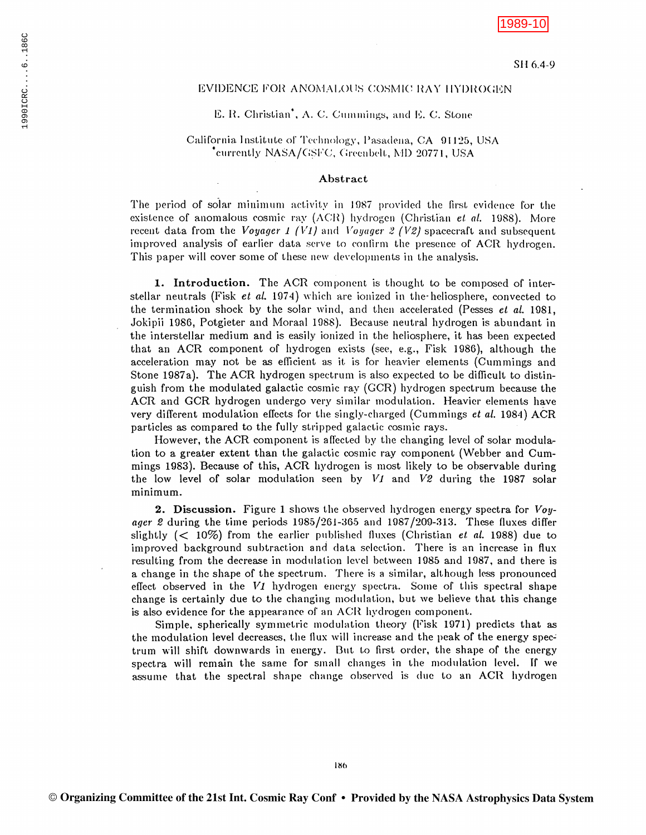# 1989-10

## EVIDENCE FOR ANOMALOUS COSMIC RAY HYDROGEN

### E. R. Christian<sup>\*</sup>, A. C. Cummings, and E. C. Stone

# California Institute of Technology, Pasadena, CA 91125, USA <sup>\*</sup>currently NASA/GSFC, Greenbelt, MD 20771, USA

### Abstract

The period of solar minimum activity in 1987 provided the first evidence for the existence of anomalous cosmic ray (ACR) hydrogen (Christian et al. 1988). More recent data from the *Voyager 1 (V1)* and *Voyager 2 (V2)* spacecraft and subsequent improved analysis of earlier data serve to confirm the presence of ACR hydrogen. This paper will cover some of these new developments in the analysis.

**1.** Introduction. The ACR component is thought to be composed of interstellar neutrals (Fisk et al. 1974) which are ionized in the heliosphere, convected to the termination shock by the solar wind, and then accelerated (Pesses *et al.* 1981, Jokipii 1986, Potgieter and Moraal 1988). Because neutral hydrogen is abundant in the interstellar medium and is easily ionized in the heliosphere, it has been expected that an ACR component of hydrogen exists (see, e.g., Fisk 1986), although the acceleration may not be as efficient as it is for heavier elements (Cummings and Stone 1987a). The ACR hydrogen spectrum is also expected to be difficult to distinguish from the modulated galactic cosmic ray (GCR) hydrogen spectrum because the ACR and GCR hydrogen undergo very similar modulation. Heavier elements have very different modulation effects for the singly-charged (Cummings et al. 1984) ACR particles as compared to the fully stripped galactic cosmic rays.

However, the ACR component is affected by the changing level of solar modulation to a greater extent than the galactic cosmic ray component (Webber and Cummings 1983). Because of this, ACR hydrogen is most likely to be observable during the low level of solar modulation seen by VI and V2 during the 1987 solar minimum.

**2. Discussion.** Figure 1 shows the observed hydrogen energy spectra for  $Vov$ ager 2 during the time periods 1985/261-365 and 1987/209-313. These fluxes differ slightly  $(< 10\%)$  from the earlier published fluxes (Christian *et al.* 1988) due to improved background subtraction and data selection. There is an increase in flux resulting from the decrease in modulation level between 1985 and 1987, and there is a change in the shape of the spectrum. There is a similar, although less pronounced effect observed in the V1 hydrogen energy spectra. Some of this spectral shape change is certainly due to the changing modulation, but we believe that this change is also evidence for the appearance of an ACR hydrogen component.

Simple, spherically symmetric modulation theory (Fisk 1971) predicts that as the modulation level decreases, the flux will increase and the peak of the energy spectrum will shift downwards in energy. But to first order, the shape of the energy spectra will remain the same for small changes in the modulation level. If we assume that the spectral shape change observed is due to an ACR hydrogen

186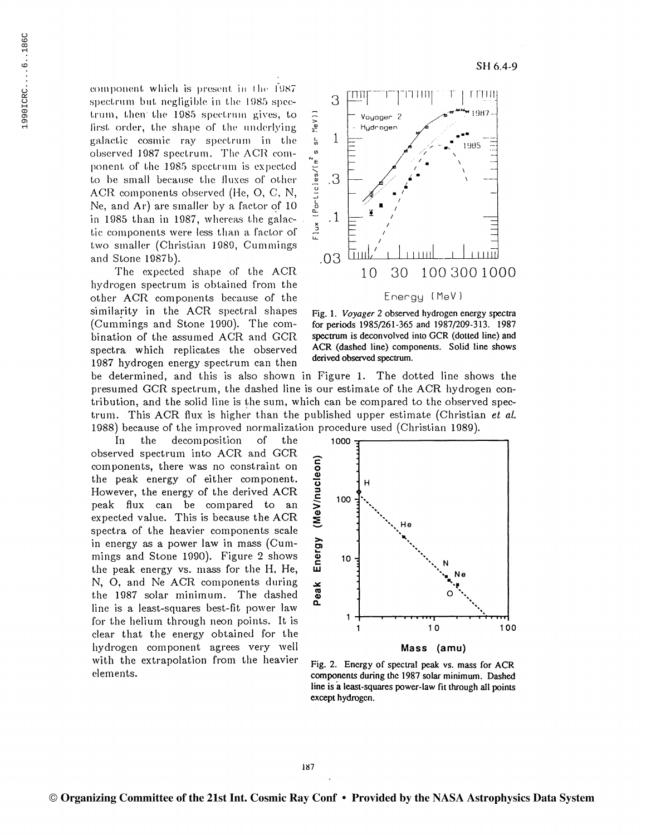component which is present in the 1987 spectrum but negligible in the 1985 spectrum, then the 1985 spectrum gives, to first order, the shape of the underlying galactic cosmic ray spectrum in the observed 1987 spectrum. The ACR component of the 1985 spectrum is expected to be small because the fluxes of other ACR components observed (He, O, C, N, Ne, and Ar) are smaller by a factor of 10 in 1985 than in 1987, whereas the galactic components were less than a factor of two smaller (Christian 1989, Cummings and Stone 1987b).

The expected shape of the ACR hydrogen spectrum is obtained from the other ACR components because of the similarity in the ACR spectral shapes (Cummings and Stone 1990). The combination of the assumed ACR and GCR spectra which replicates the observed 1987 hydrogen energy spectrum can then



SH 6.4-9

## Energy (MeV)

Fig. 1. Voyager 2 observed hydrogen energy spectra for periods 1985/261-365 and 1987/209-313. 1987 spectrum is deconvolved into GCR (dotted line) and ACR (dashed line) components. Solid line shows derived observed spectrum.

be determined, and this is also shown in Figure 1. The dotted line shows the presumed GCR spectrum, the dashed line is our estimate of the ACR hydrogen contribution, and the solid line is the sum, which can be compared to the observed spectrum. This ACR flux is higher than the published upper estimate (Christian et al. 1988) because of the improved normalization procedure used (Christian 1989).

decomposition <sub>of</sub> the In the observed spectrum into ACR and GCR components, there was no constraint on the peak energy of either component. However, the energy of the derived ACR peak flux can be compared to an expected value. This is because the ACR spectra of the heavier components scale in energy as a power law in mass (Cummings and Stone 1990). Figure 2 shows the peak energy vs. mass for the H. He, N, O, and Ne ACR components during the 1987 solar minimum. The dashed line is a least-squares best-fit power law for the helium through neon points. It is clear that the energy obtained for the hydrogen component agrees very well with the extrapolation from the heavier elements.



Fig. 2. Energy of spectral peak vs. mass for ACR components during the 1987 solar minimum. Dashed line is a least-squares power-law fit through all points except hydrogen.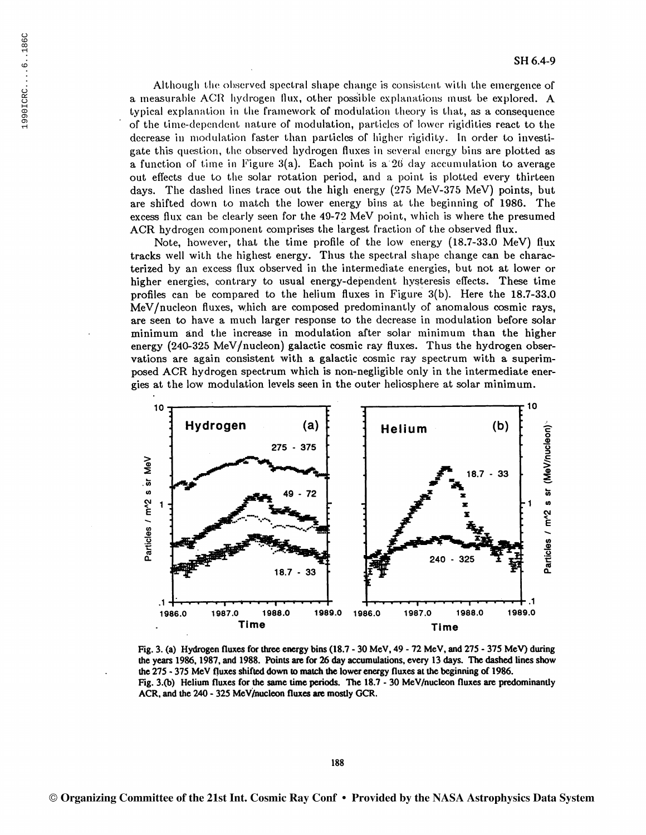Although the observed spectral shape change is consistent with the emergence of a measurable ACR hydrogen flux, other possible explanations must be explored. A typical explanation in the framework of modulation theory is that, as a consequence of the time-dependent nature of modulation, particles of lower rigidities react to the decrease in modulation faster than particles of higher rigidity. In order to investigate this question, the observed hydrogen fluxes in several energy bins are plotted as a function of time in Figure 3(a). Each point is a 26 day accumulation to average out effects due to the solar rotation period, and a point is plotted every thirteen days. The dashed lines trace out the high energy (275 MeV-375 MeV) points, but are shifted down to match the lower energy bins at the beginning of 1986. The excess flux can be clearly seen for the  $49-72~MeV$  point, which is where the presumed ACR hydrogen component comprises the largest fraction of the observed flux.

Note, however, that the time profile of the low energy (18.7-33.0 MeV) flux tracks well with the highest energy. Thus the spectral shape change can be characterized by an excess flux observed in the intermediate energies, but not at lower or higher energies, contrary to usual energy-dependent hysteresis effects. These time profiles can be compared to the helium fluxes in Figure  $3(b)$ . Here the 18.7-33.0 MeV/nucleon fluxes, which are composed predominantly of anomalous cosmic rays, are seen to have a much larger response to the decrease in modulation before solar minimum and the increase in modulation after solar minimum than the higher energy (240-325 MeV/nucleon) galactic cosmic ray fluxes. Thus the hydrogen observations are again consistent with a galactic cosmic ray spectrum with a superimposed ACR hydrogen spectrum which is non-negligible only in the intermediate energies at the low modulation levels seen in the outer heliosphere at solar minimum.



Fig. 3. (a) Hydrogen fluxes for three energy bins (18.7 - 30 MeV, 49 - 72 MeV, and 275 - 375 MeV) during the years 1986, 1987, and 1988. Points are for 26 day accumulations, every 13 days. The dashed lines show the 275 - 375 MeV fluxes shifted down to match the lower energy fluxes at the beginning of 1986. Fig. 3.(b) Helium fluxes for the same time periods. The 18.7 - 30 MeV/nucleon fluxes are predominantly ACR, and the 240 - 325 MeV/nucleon fluxes are mostly GCR.

188